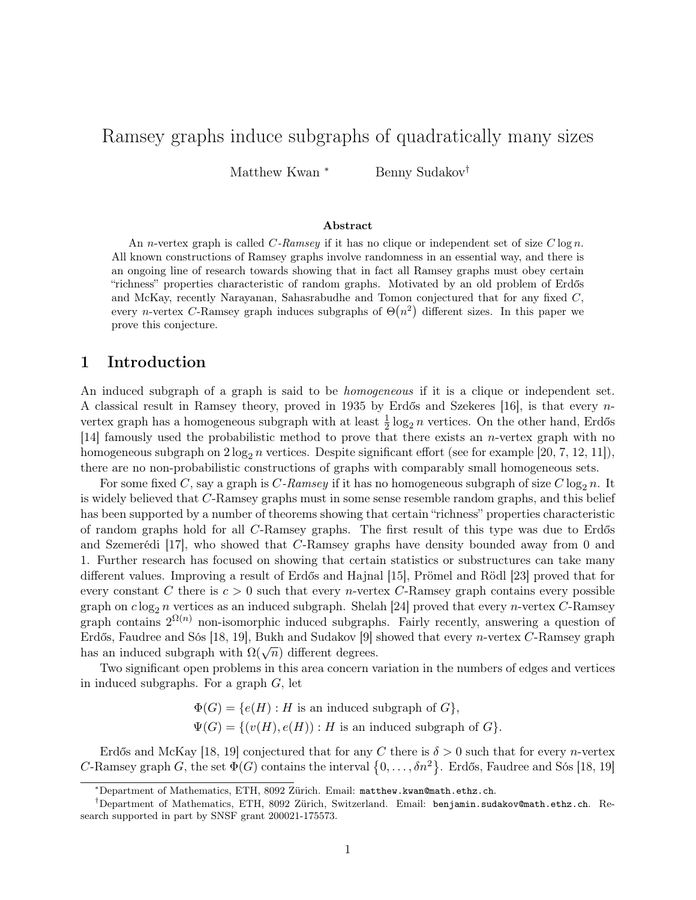# Ramsey graphs induce subgraphs of quadratically many sizes

Matthew Kwan <sup>∗</sup> Benny Sudakov<sup>†</sup>

#### Abstract

An *n*-vertex graph is called  $C$ -Ramsey if it has no clique or independent set of size  $C \log n$ . All known constructions of Ramsey graphs involve randomness in an essential way, and there is an ongoing line of research towards showing that in fact all Ramsey graphs must obey certain "richness" properties characteristic of random graphs. Motivated by an old problem of Erdős and McKay, recently Narayanan, Sahasrabudhe and Tomon conjectured that for any fixed C, every *n*-vertex C-Ramsey graph induces subgraphs of  $\Theta(n^2)$  different sizes. In this paper we prove this conjecture.

# 1 Introduction

An induced subgraph of a graph is said to be *homogeneous* if it is a clique or independent set. A classical result in Ramsey theory, proved in 1935 by Erdős and Szekeres [\[16\]](#page-12-0), is that every nvertex graph has a homogeneous subgraph with at least  $\frac{1}{2} \log_2 n$  vertices. On the other hand, Erdős [\[14\]](#page-12-1) famously used the probabilistic method to prove that there exists an n-vertex graph with no homogeneous subgraph on  $2 \log_2 n$  vertices. Despite significant effort (see for example [\[20,](#page-12-2) [7,](#page-11-0) [12,](#page-11-1) [11\]](#page-11-2)), there are no non-probabilistic constructions of graphs with comparably small homogeneous sets.

For some fixed C, say a graph is C-Ramsey if it has no homogeneous subgraph of size C  $\log_2 n$ . It is widely believed that C-Ramsey graphs must in some sense resemble random graphs, and this belief has been supported by a number of theorems showing that certain "richness" properties characteristic of random graphs hold for all C-Ramsey graphs. The first result of this type was due to Erdős and Szemerédi [\[17\]](#page-12-3), who showed that C-Ramsey graphs have density bounded away from 0 and 1. Further research has focused on showing that certain statistics or substructures can take many different values. Improving a result of Erdős and Hajnal [\[15\]](#page-12-4), Prömel and Rödl [\[23\]](#page-12-5) proved that for every constant C there is  $c > 0$  such that every n-vertex C-Ramsey graph contains every possible graph on  $c \log_2 n$  vertices as an induced subgraph. Shelah [\[24\]](#page-12-6) proved that every n-vertex C-Ramsey graph contains  $2^{\Omega(n)}$  non-isomorphic induced subgraphs. Fairly recently, answering a question of Erdős, Faudree and Sós [\[18,](#page-12-7) [19\]](#page-12-8), Bukh and Sudakov [\[9\]](#page-11-3) showed that every n-vertex C-Ramsey graph Eridos, raddree and sos [16, 19], Bukh and Sudakov [9] s<br>has an induced subgraph with  $\Omega(\sqrt{n})$  different degrees.

Two significant open problems in this area concern variation in the numbers of edges and vertices in induced subgraphs. For a graph G, let

> $\Phi(G) = \{e(H) : H$  is an induced subgraph of  $G\},\$  $\Psi(G) = \{ (v(H), e(H)) : H \text{ is an induced subgraph of } G \}.$

Erdős and McKay [\[18,](#page-12-7) [19\]](#page-12-8) conjectured that for any C there is  $\delta > 0$  such that for every n-vertex C-Ramsey graph G, the set  $\Phi(G)$  contains the interval  $\{0, \ldots, \delta n^2\}$ . Erdős, Faudree and Sós [\[18,](#page-12-7) [19\]](#page-12-8)

<sup>∗</sup>Department of Mathematics, ETH, 8092 Zürich. Email: [matthew.kwan@math.ethz.ch](mailto:matthew.kwan@math.ethz.ch).

<sup>†</sup>Department of Mathematics, ETH, 8092 Zürich, Switzerland. Email: [benjamin.sudakov@math.ethz.ch](mailto:benjamin.sudakov@math.ethz.ch). Research supported in part by SNSF grant 200021-175573.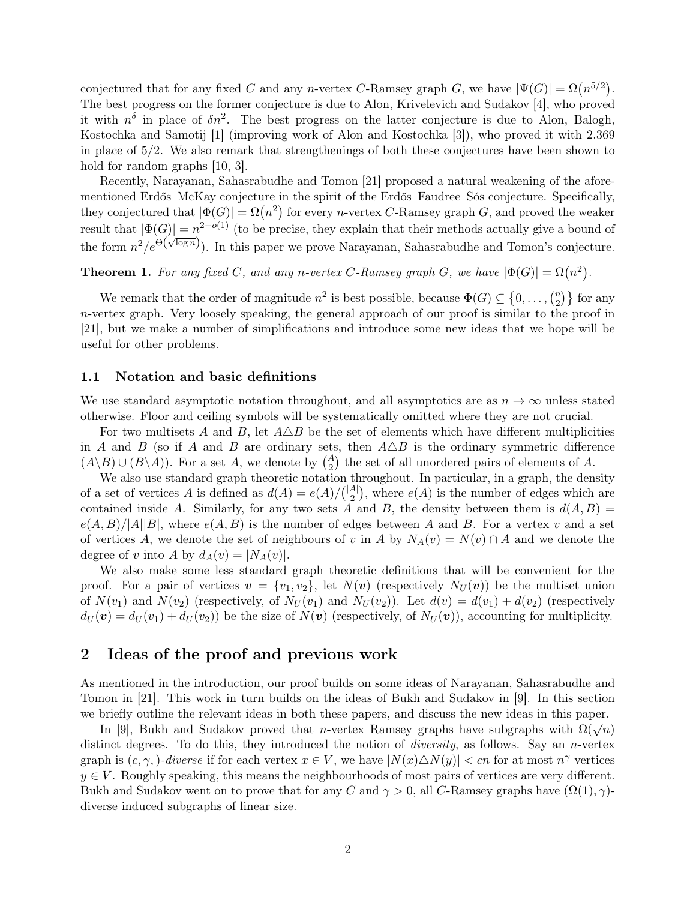conjectured that for any fixed C and any n-vertex C-Ramsey graph G, we have  $|\Psi(G)| = \Omega(n^{5/2})$ . The best progress on the former conjecture is due to Alon, Krivelevich and Sudakov [\[4\]](#page-11-4), who proved it with  $n^{\delta}$  in place of  $\delta n^2$ . The best progress on the latter conjecture is due to Alon, Balogh, Kostochka and Samotij [\[1\]](#page-11-5) (improving work of Alon and Kostochka [\[3\]](#page-11-6)), who proved it with 2.369 in place of 5/2. We also remark that strengthenings of both these conjectures have been shown to hold for random graphs  $[10, 3]$  $[10, 3]$ .

Recently, Narayanan, Sahasrabudhe and Tomon [\[21\]](#page-12-9) proposed a natural weakening of the aforementioned Erdős–McKay conjecture in the spirit of the Erdős–Faudree–Sós conjecture. Specifically, they conjectured that  $|\Phi(G)| = \Omega(n^2)$  for every *n*-vertex *C*-Ramsey graph *G*, and proved the weaker result that  $|\Phi(G)| = n^{2-o(1)}$  (to be precise, they explain that their methods actually give a bound of the form  $n^2/e^{\Theta(\sqrt{\log n}})$ . In this paper we prove Narayanan, Sahasrabudhe and Tomon's conjecture.

<span id="page-1-0"></span>**Theorem 1.** For any fixed C, and any n-vertex C-Ramsey graph G, we have  $|\Phi(G)| = \Omega(n^2)$ .

We remark that the order of magnitude  $n^2$  is best possible, because  $\Phi(G) \subseteq \{0, \ldots, \binom{n}{2}\}$  $\binom{n}{2}$  for any n-vertex graph. Very loosely speaking, the general approach of our proof is similar to the proof in [\[21\]](#page-12-9), but we make a number of simplifications and introduce some new ideas that we hope will be useful for other problems.

#### <span id="page-1-2"></span>1.1 Notation and basic definitions

We use standard asymptotic notation throughout, and all asymptotics are as  $n \to \infty$  unless stated otherwise. Floor and ceiling symbols will be systematically omitted where they are not crucial.

For two multisets A and B, let  $A\triangle B$  be the set of elements which have different multiplicities in A and B (so if A and B are ordinary sets, then  $A\triangle B$  is the ordinary symmetric difference  $(A \backslash B) \cup (B \backslash A)$ . For a set A, we denote by  $\binom{A}{2}$  the set of all unordered pairs of elements of A.

We also use standard graph theoretic notation throughout. In particular, in a graph, the density of a set of vertices A is defined as  $d(A) = e(A)/\binom{|A|}{2}$  $\binom{A}{2}$ , where  $e(A)$  is the number of edges which are contained inside A. Similarly, for any two sets A and B, the density between them is  $d(A, B)$  =  $e(A, B)/|A||B|$ , where  $e(A, B)$  is the number of edges between A and B. For a vertex v and a set of vertices A, we denote the set of neighbours of v in A by  $N_A(v) = N(v) \cap A$  and we denote the degree of v into A by  $d_A(v) = |N_A(v)|$ .

We also make some less standard graph theoretic definitions that will be convenient for the proof. For a pair of vertices  $\mathbf{v} = \{v_1, v_2\}$ , let  $N(\mathbf{v})$  (respectively  $N_U(\mathbf{v})$ ) be the multiset union of  $N(v_1)$  and  $N(v_2)$  (respectively, of  $N_U(v_1)$  and  $N_U(v_2)$ ). Let  $d(v) = d(v_1) + d(v_2)$  (respectively  $d_U(\mathbf{v}) = d_U(v_1) + d_U(v_2)$  be the size of  $N(\mathbf{v})$  (respectively, of  $N_U(\mathbf{v})$ ), accounting for multiplicity.

### <span id="page-1-1"></span>2 Ideas of the proof and previous work

As mentioned in the introduction, our proof builds on some ideas of Narayanan, Sahasrabudhe and Tomon in [\[21\]](#page-12-9). This work in turn builds on the ideas of Bukh and Sudakov in [\[9\]](#page-11-3). In this section we briefly outline the relevant ideas in both these papers, and discuss the new ideas in this paper.

In [\[9\]](#page-11-3), Bukh and Sudakov proved that *n*-vertex Ramsey graphs have subgraphs with  $\Omega(\sqrt{n})$ distinct degrees. To do this, they introduced the notion of *diversity*, as follows. Say an *n*-vertex graph is  $(c, \gamma)$ -diverse if for each vertex  $x \in V$ , we have  $|N(x) \triangle N(y)| < cn$  for at most  $n^{\gamma}$  vertices  $y \in V$ . Roughly speaking, this means the neighbourhoods of most pairs of vertices are very different. Bukh and Sudakov went on to prove that for any C and  $\gamma > 0$ , all C-Ramsey graphs have  $(\Omega(1), \gamma)$ diverse induced subgraphs of linear size.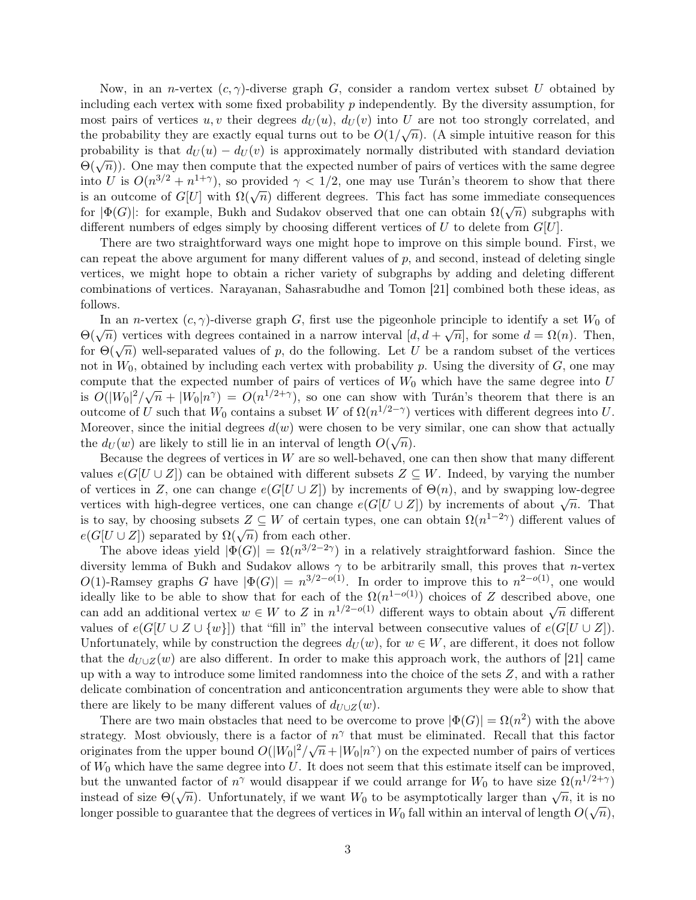Now, in an *n*-vertex  $(c, \gamma)$ -diverse graph G, consider a random vertex subset U obtained by including each vertex with some fixed probability p independently. By the diversity assumption, for most pairs of vertices  $u, v$  their degrees  $d_U(u), d_U(v)$  into U are not too strongly correlated, and the probability they are exactly equal turns out to be  $O(1/\sqrt{n})$ . (A simple intuitive reason for this probability is that  $d_U(u) - d_U(v)$  is approximately normally distributed with standard deviation  $\Theta(\sqrt{n})$ ). One may then compute that the expected number of pairs of vertices with the same degree into U is  $O(n^{3/2} + n^{1+\gamma})$ , so provided  $\gamma < 1/2$ , one may use Turán's theorem to show that there is an outcome of  $G[U]$  with  $\Omega(\sqrt{n})$  different degrees. This fact has some immediate consequences for  $|\Phi(G)|$ : for example, Bukh and Sudakov observed that one can obtain  $\Omega(\sqrt{n})$  subgraphs with different numbers of edges simply by choosing different vertices of U to delete from  $G[U]$ .

There are two straightforward ways one might hope to improve on this simple bound. First, we can repeat the above argument for many different values of  $p$ , and second, instead of deleting single vertices, we might hope to obtain a richer variety of subgraphs by adding and deleting different combinations of vertices. Narayanan, Sahasrabudhe and Tomon [\[21\]](#page-12-9) combined both these ideas, as follows.

In an *n*-vertex  $(c, \gamma)$ -diverse graph G, first use the pigeonhole principle to identify a set  $W_0$  of  $Θ(\sqrt{n})$  vertices with degrees contained in a narrow interval  $[d, d + \sqrt{n}]$ , for some  $d = Ω(n)$ . Then,  $\Theta(\sqrt{n})$  well-separated values of p, do the following. Let U be a random subset of the vertices for  $\Theta(\sqrt{n})$  well-separated values of p, do the following. Let U be a random subset of the vertices not in  $W_0$ , obtained by including each vertex with probability p. Using the diversity of  $G$ , one may compute that the expected number of pairs of vertices of  $W_0$  which have the same degree into U is  $O(|W_0|^2/\sqrt{n}+|W_0|n^{\gamma})=O(n^{1/2+\gamma})$ , so one can show with Turán's theorem that there is an outcome of U such that  $W_0$  contains a subset W of  $\Omega(n^{1/2-\gamma})$  vertices with different degrees into U. Moreover, since the initial degrees  $d(w)$  were chosen to be very similar, one can show that actually the  $d_U(w)$  are likely to still lie in an interval of length  $O(\sqrt{n})$ .

Because the degrees of vertices in W are so well-behaved, one can then show that many different values  $e(G[U \cup Z])$  can be obtained with different subsets  $Z \subseteq W$ . Indeed, by varying the number of vertices in Z, one can change  $e(G[U \cup Z])$  by increments of  $\Theta(n)$ , and by swapping low-degree vertices in  $\mathbb{Z}$ , one can change  $e(G[U \cup \mathbb{Z}])$  by increments of  $\Theta(n)$ , and by swapping low-degree vertices with high-degree vertices, one can change  $e(G[U \cup \mathbb{Z}])$  by increments of about  $\sqrt{n}$ . That is to say, by choosing subsets  $Z \subseteq W$  of certain types, one can obtain  $\Omega(n^{1-2\gamma})$  different values of is to say, by choosing subsets  $Z \subseteq W$  or certain the  $e(G[U \cup Z])$  separated by  $\Omega(\sqrt{n})$  from each other.

The above ideas yield  $|\Phi(G)| = \Omega(n^{3/2-2\gamma})$  in a relatively straightforward fashion. Since the diversity lemma of Bukh and Sudakov allows  $\gamma$  to be arbitrarily small, this proves that *n*-vertex O(1)-Ramsey graphs G have  $|\Phi(G)| = n^{3/2-o(1)}$ . In order to improve this to  $n^{2-o(1)}$ , one would ideally like to be able to show that for each of the  $\Omega(n^{1-o(1)})$  choices of Z described above, one can add an additional vertex  $w \in W$  to Z in  $n^{1/2-o(1)}$  different ways to obtain about  $\sqrt{n}$  different values of  $e(G[U \cup Z \cup \{w\}])$  that "fill in" the interval between consecutive values of  $e(G[U \cup Z])$ . Unfortunately, while by construction the degrees  $d_U(w)$ , for  $w \in W$ , are different, it does not follow that the  $d_{U\cup Z}(w)$  are also different. In order to make this approach work, the authors of [\[21\]](#page-12-9) came up with a way to introduce some limited randomness into the choice of the sets Z, and with a rather delicate combination of concentration and anticoncentration arguments they were able to show that there are likely to be many different values of  $d_{U\cup Z}(w)$ .

There are two main obstacles that need to be overcome to prove  $|\Phi(G)| = \Omega(n^2)$  with the above strategy. Most obviously, there is a factor of  $n^{\gamma}$  that must be eliminated. Recall that this factor originates from the upper bound  $O(|W_0|^2/\sqrt{n}+|W_0|n^{\gamma})$  on the expected number of pairs of vertices of  $W_0$  which have the same degree into U. It does not seem that this estimate itself can be improved, but the unwanted factor of  $n^{\gamma}$  would disappear if we could arrange for  $W_0$  to have size  $\Omega(n^{1/2+\gamma})$ instead of size  $\Theta(\sqrt{n})$ . Unfortunately, if we want  $W_0$  to be asymptotically larger than  $\sqrt{n}$ , it is no<br><sup>1</sup>/<sub>1</sub> it is no  $\sim$ <sup>1</sup>/<sub>1</sub> it is no  $\sim$ <sup>1</sup>/<sub>1</sub> it is no  $\sim$ <sup>1</sup>/<sub>1</sub> it is no  $\sim$ <sup>1</sup>/<sub>1</sub> it is no  $\sim$ <sup>1</sup>/<sub>1</sub> longer possible to guarantee that the degrees of vertices in  $W_0$  fall within an interval of length  $O(\sqrt{n}),$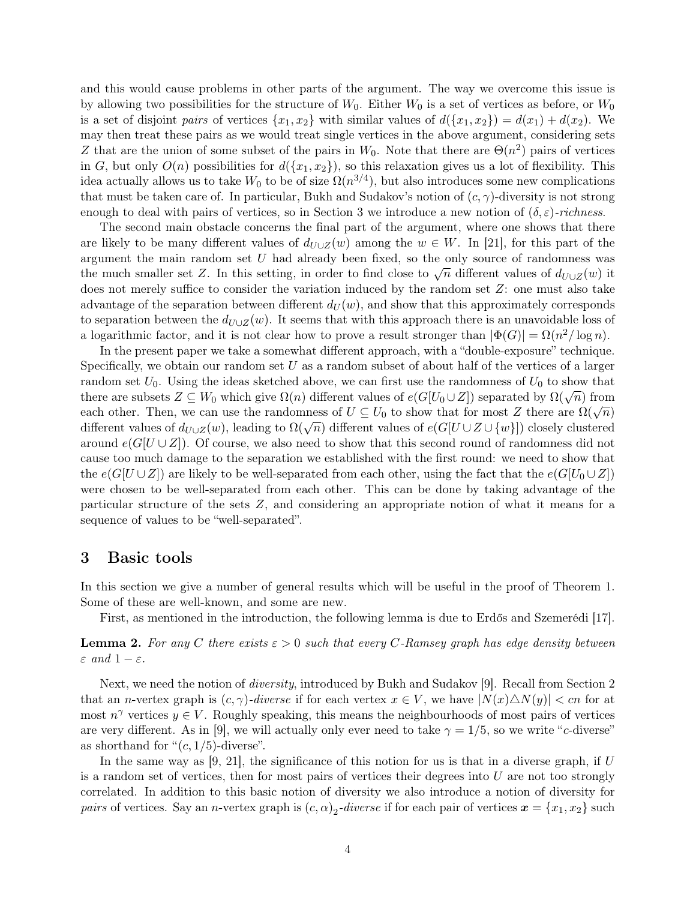and this would cause problems in other parts of the argument. The way we overcome this issue is by allowing two possibilities for the structure of  $W_0$ . Either  $W_0$  is a set of vertices as before, or  $W_0$ is a set of disjoint pairs of vertices  $\{x_1, x_2\}$  with similar values of  $d(\{x_1, x_2\}) = d(x_1) + d(x_2)$ . We may then treat these pairs as we would treat single vertices in the above argument, considering sets Z that are the union of some subset of the pairs in  $W_0$ . Note that there are  $\Theta(n^2)$  pairs of vertices in G, but only  $O(n)$  possibilities for  $d({x_1, x_2})$ , so this relaxation gives us a lot of flexibility. This idea actually allows us to take  $W_0$  to be of size  $\Omega(n^{3/4})$ , but also introduces some new complications that must be taken care of. In particular, Bukh and Sudakov's notion of  $(c, \gamma)$ -diversity is not strong enough to deal with pairs of vertices, so in [Section 3](#page-3-0) we introduce a new notion of  $(\delta, \varepsilon)$ -richness.

The second main obstacle concerns the final part of the argument, where one shows that there are likely to be many different values of  $d_{U\cup Z}(w)$  among the  $w \in W$ . In [\[21\]](#page-12-9), for this part of the argument the main random set  $U$  had already been fixed, so the only source of randomness was argument the main random set *U* had aready been fixed, so the only source of randomness was<br>the much smaller set Z. In this setting, in order to find close to  $\sqrt{n}$  different values of  $d_{U\cup Z}(w)$  it does not merely suffice to consider the variation induced by the random set Z: one must also take advantage of the separation between different  $d_U(w)$ , and show that this approximately corresponds to separation between the  $d_{U\cup Z}(w)$ . It seems that with this approach there is an unavoidable loss of a logarithmic factor, and it is not clear how to prove a result stronger than  $|\Phi(G)| = \Omega(n^2/\log n)$ .

In the present paper we take a somewhat different approach, with a "double-exposure" technique. Specifically, we obtain our random set  $U$  as a random subset of about half of the vertices of a larger random set  $U_0$ . Using the ideas sketched above, we can first use the randomness of  $U_0$  to show that there are subsets  $Z \subseteq W_0$  which give  $\Omega(n)$  different values of  $e(G[U_0 \cup Z])$  separated by  $\Omega(\sqrt{n})$  from each other. Then, we can use the randomness of  $U \subseteq U_0$  to show that for most Z there are  $\Omega(\sqrt{n})$  used  $\Omega(\sqrt{n})$ different values of  $d_{U\cup Z}(w)$ , leading to  $\Omega(\sqrt{n})$  different values of  $e(G[U\cup Z\cup \{w\}])$  closely clustered around  $e(G[U\cup Z])$ . Of course, we also need to show that this second round of randomness did not cause too much damage to the separation we established with the first round: we need to show that the  $e(G[U\cup Z])$  are likely to be well-separated from each other, using the fact that the  $e(G[U\cup Z])$ were chosen to be well-separated from each other. This can be done by taking advantage of the particular structure of the sets Z, and considering an appropriate notion of what it means for a sequence of values to be "well-separated".

### <span id="page-3-0"></span>3 Basic tools

In this section we give a number of general results which will be useful in the proof of [Theorem 1.](#page-1-0) Some of these are well-known, and some are new.

First, as mentioned in the introduction, the following lemma is due to Erdős and Szemerédi [\[17\]](#page-12-3).

<span id="page-3-1"></span>**Lemma 2.** For any C there exists  $\varepsilon > 0$  such that every C-Ramsey graph has edge density between  $\varepsilon$  and  $1-\varepsilon$ .

Next, we need the notion of *diversity*, introduced by Bukh and Sudakov [\[9\]](#page-11-3). Recall from [Section 2](#page-1-1) that an n-vertex graph is  $(c, \gamma)$ -diverse if for each vertex  $x \in V$ , we have  $|N(x) \triangle N(y)| < cn$  for at most  $n^{\gamma}$  vertices  $y \in V$ . Roughly speaking, this means the neighbourhoods of most pairs of vertices are very different. As in [\[9\]](#page-11-3), we will actually only ever need to take  $\gamma = 1/5$ , so we write "c-diverse" as shorthand for " $(c, 1/5)$ -diverse".

In the same way as  $[9, 21]$  $[9, 21]$ , the significance of this notion for us is that in a diverse graph, if U is a random set of vertices, then for most pairs of vertices their degrees into  $U$  are not too strongly correlated. In addition to this basic notion of diversity we also introduce a notion of diversity for pairs of vertices. Say an *n*-vertex graph is  $(c, \alpha)_2$ -diverse if for each pair of vertices  $x = \{x_1, x_2\}$  such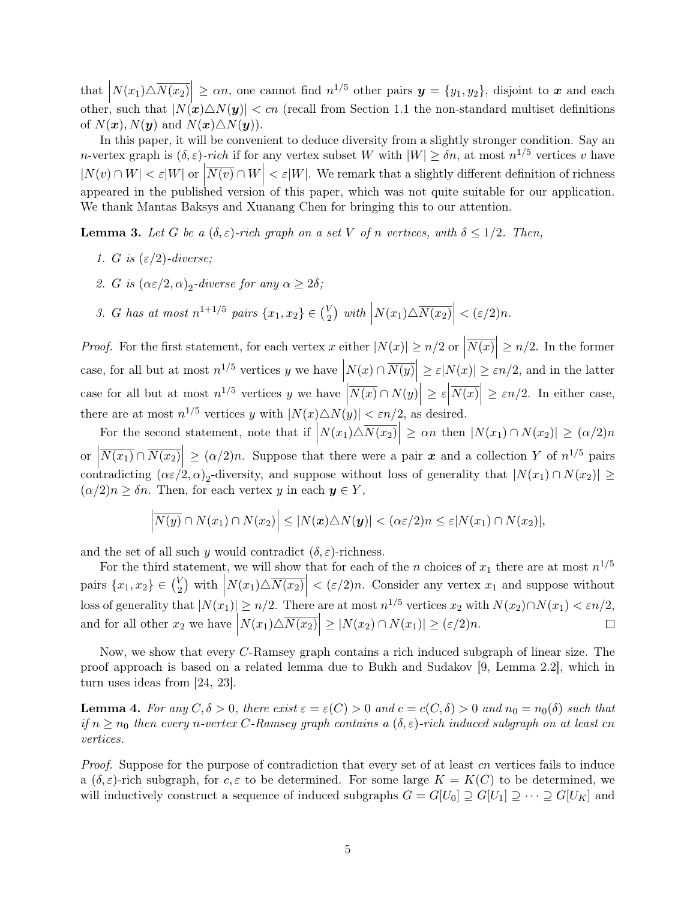that  $\left| N(x_1) \triangle \overline{N(x_2)} \right| \ge \alpha n$ , one cannot find  $n^{1/5}$  other pairs  $y = \{y_1, y_2\}$ , disjoint to x and each other, such that  $|N(x)\triangle N(y)| < cn$  (recall from [Section 1.1](#page-1-2) the non-standard multiset definitions of  $N(\boldsymbol{x}), N(\boldsymbol{y})$  and  $N(\boldsymbol{x})\triangle N(\boldsymbol{y})$ .

In this paper, it will be convenient to deduce diversity from a slightly stronger condition. Say an *n*-vertex graph is  $(\delta, \varepsilon)$ -rich if for any vertex subset W with  $|W| \geq \delta n$ , at most  $n^{1/5}$  vertices v have  $|N(v) \cap W| < \varepsilon |W|$  or  $|\overline{N(v)} \cap W| < \varepsilon |W|$ . We remark that a slightly different definition of richness appeared in the published version of this paper, which was not quite suitable for our application. We thank Mantas Baksys and Xuanang Chen for bringing this to our attention.

<span id="page-4-1"></span>**Lemma 3.** Let G be a  $(\delta, \varepsilon)$ -rich graph on a set V of n vertices, with  $\delta \leq 1/2$ . Then,

- 1. G is  $(\varepsilon/2)$ -diverse;
- 2. G is  $(\alpha \varepsilon/2, \alpha)_2$ -diverse for any  $\alpha \ge 2\delta$ ;
- 3. G has at most  $n^{1+1/5}$  pairs  $\{x_1, x_2\} \in {V_2 \choose 2}$  $\left| \sum_{2}^{V} \right|$  with  $\left| N(x_1) \triangle \overline{N(x_2)} \right| < (\varepsilon/2)n$ .

*Proof.* For the first statement, for each vertex x either  $|N(x)| \ge n/2$  or  $|$  $\overline{N(x)} \geq n/2$ . In the former case, for all but at most  $n^{1/5}$  vertices y we have  $\left| N(x) \cap \overline{N(y)} \right| \ge \varepsilon |N(x)| \ge \varepsilon n/2$ , and in the latter  $\begin{array}{c} \end{array}$ case for all but at most  $n^{1/5}$  vertices y we have  $\overline{N(x)} \cap N(y) \Big| \geq \varepsilon$  $\overline{N(x)} \geq \varepsilon n/2$ . In either case, there are at most  $n^{1/5}$  vertices y with  $|N(x) \triangle N(y)| < \varepsilon n/2$ , as desired.

For the second statement, note that if  $\left| N(x_1) \triangle \overline{N(x_2)} \right| \geq \alpha n$  then  $|N(x_1) \cap N(x_2)| \geq (\alpha/2)n$ or  $\left|\overline{N(x_1)} \cap \overline{N(x_2)}\right| \geq (\alpha/2)n$ . Suppose that there were a pair x and a collection Y of  $n^{1/5}$  pairs contradicting  $(\alpha \varepsilon/2, \alpha)_2$ -diversity, and suppose without loss of generality that  $|N(x_1) \cap N(x_2)| \ge$  $(\alpha/2)n \geq \delta n$ . Then, for each vertex y in each  $y \in Y$ ,

$$
\left|\overline{N(y)}\cap N(x_1)\cap N(x_2)\right|\leq |N(x)\triangle N(y)|<(\alpha\epsilon/2)n\leq \epsilon|N(x_1)\cap N(x_2)|,
$$

and the set of all such y would contradict  $(\delta, \varepsilon)$ -richness.

For the third statement, we will show that for each of the n choices of  $x_1$  there are at most  $n^{1/5}$ v<sub>2</sub>) with  $|N(x_1)\triangle N(x_2)| < (\varepsilon/2)n$ . Consider any vertex  $x_1$  and suppose without pairs  $\{x_1, x_2\} \in \binom{V}{2}$  $\mid$ loss of generality that  $|N(x_1)| \ge n/2$ . There are at most  $n^{1/5}$  vertices  $x_2$  with  $N(x_2) \cap N(x_1) < \varepsilon n/2$ , and for all other  $x_2$  we have  $\left| N(x_1) \triangle \overline{N(x_2)} \right| \geq |N(x_2) \cap N(x_1)| \geq (\varepsilon/2)n$ .  $\Box$ 

Now, we show that every C-Ramsey graph contains a rich induced subgraph of linear size. The proof approach is based on a related lemma due to Bukh and Sudakov [\[9,](#page-11-3) Lemma 2.2], which in turn uses ideas from [\[24,](#page-12-6) [23\]](#page-12-5).

<span id="page-4-0"></span>**Lemma 4.** For any  $C, \delta > 0$ , there exist  $\varepsilon = \varepsilon(C) > 0$  and  $c = c(C, \delta) > 0$  and  $n_0 = n_0(\delta)$  such that if  $n \geq n_0$  then every n-vertex C-Ramsey graph contains a  $(\delta, \varepsilon)$ -rich induced subgraph on at least cn vertices.

Proof. Suppose for the purpose of contradiction that every set of at least cn vertices fails to induce a  $(\delta, \varepsilon)$ -rich subgraph, for c,  $\varepsilon$  to be determined. For some large  $K = K(C)$  to be determined, we will inductively construct a sequence of induced subgraphs  $G = G[U_0] \supseteq G[U_1] \supseteq \cdots \supseteq G[U_K]$  and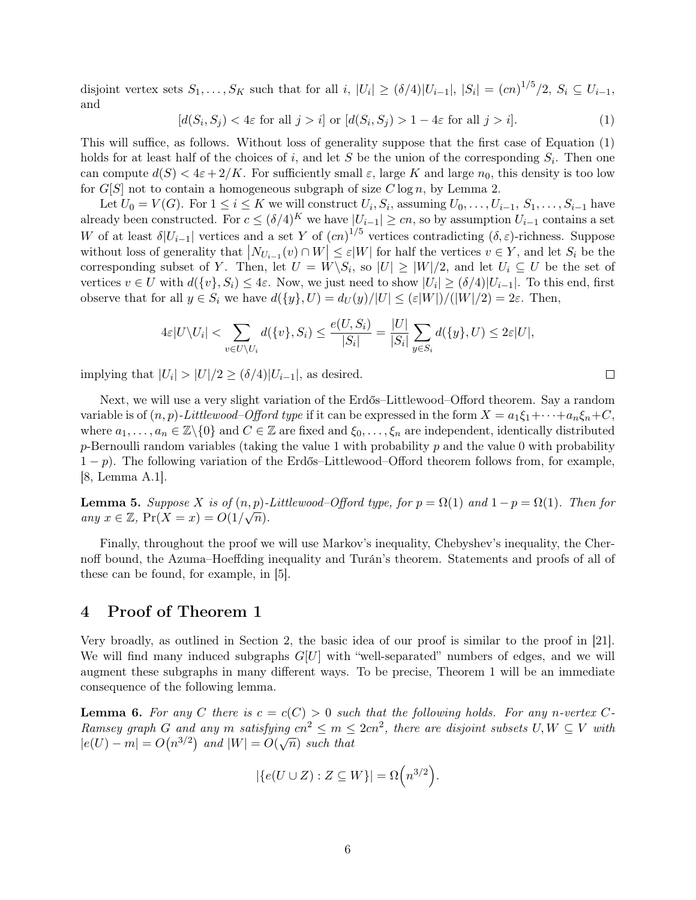disjoint vertex sets  $S_1, \ldots, S_K$  such that for all  $i, |U_i| \geq (\delta/4)|U_{i-1}|, |S_i| = (cn)^{1/5}/2, S_i \subseteq U_{i-1}$ , and

<span id="page-5-0"></span> $[d(S_i, S_j) < 4\varepsilon$  for all  $j > i]$  or  $[d(S_i, S_j) > 1 - 4\varepsilon$  for all  $j > i]$ . (1)

This will suffice, as follows. Without loss of generality suppose that the first case of [Equation \(1\)](#page-5-0) holds for at least half of the choices of i, and let S be the union of the corresponding  $S_i$ . Then one can compute  $d(S) < 4\varepsilon + 2/K$ . For sufficiently small  $\varepsilon$ , large K and large  $n_0$ , this density is too low for  $G[S]$  not to contain a homogeneous subgraph of size  $C \log n$ , by [Lemma 2.](#page-3-1)

Let  $U_0 = V(G)$ . For  $1 \le i \le K$  we will construct  $U_i, S_i$ , assuming  $U_0, \ldots, U_{i-1}, S_1, \ldots, S_{i-1}$  have already been constructed. For  $c \le (\delta/4)^K$  we have  $|U_{i-1}| \ge cn$ , so by assumption  $U_{i-1}$  contains a set W of at least  $\delta|U_{i-1}|$  vertices and a set Y of  $(cn)^{1/5}$  vertices contradicting  $(\delta, \varepsilon)$ -richness. Suppose without loss of generality that  $|N_{U_{i-1}}(v) \cap W| \leq \varepsilon |W|$  for half the vertices  $v \in Y$ , and let  $S_i$  be the corresponding subset of Y. Then, let  $U = W \backslash S_i$ , so  $|U| \geq |W|/2$ , and let  $U_i \subseteq U$  be the set of vertices  $v \in U$  with  $d({v}, S_i) \leq 4\varepsilon$ . Now, we just need to show  $|U_i| \geq (\delta/4)|U_{i-1}|$ . To this end, first observe that for all  $y \in S_i$  we have  $d({y}, U) = d_U(y)/|U| \leq (\varepsilon|W|)/(|W|/2) = 2\varepsilon$ . Then,

$$
4\varepsilon|U\setminus U_i| < \sum_{v\in U\setminus U_i} d(\{v\}, S_i) \le \frac{e(U, S_i)}{|S_i|} = \frac{|U|}{|S_i|} \sum_{y\in S_i} d(\{y\}, U) \le 2\varepsilon|U|,
$$

implying that  $|U_i| > |U|/2 \ge (\delta/4)|U_{i-1}|$ , as desired.

Next, we will use a very slight variation of the Erdős–Littlewood–Offord theorem. Say a random variable is of  $(n, p)$ -Littlewood–Offord type if it can be expressed in the form  $X = a_1 \xi_1 + \cdots + a_n \xi_n + C$ , where  $a_1, \ldots, a_n \in \mathbb{Z}\backslash\{0\}$  and  $C \in \mathbb{Z}$  are fixed and  $\xi_0, \ldots, \xi_n$  are independent, identically distributed p-Bernoulli random variables (taking the value 1 with probability  $p$  and the value 0 with probability  $1-p$ ). The following variation of the Erdős–Littlewood–Offord theorem follows from, for example, [\[8,](#page-11-8) Lemma A.1].

<span id="page-5-2"></span>**Lemma 5.** Suppose X is of  $(n, p)$ -Littlewood–Offord type, for  $p = \Omega(1)$  and  $1 - p = \Omega(1)$ . Then for any  $x \in \mathbb{Z}$ ,  $Pr(X = x) = O(1/\sqrt{n}).$ 

Finally, throughout the proof we will use Markov's inequality, Chebyshev's inequality, the Chernoff bound, the Azuma–Hoeffding inequality and Turán's theorem. Statements and proofs of all of these can be found, for example, in [\[5\]](#page-11-9).

# 4 Proof of [Theorem 1](#page-1-0)

Very broadly, as outlined in [Section 2,](#page-1-1) the basic idea of our proof is similar to the proof in [\[21\]](#page-12-9). We will find many induced subgraphs  $G[U]$  with "well-separated" numbers of edges, and we will augment these subgraphs in many different ways. To be precise, [Theorem 1](#page-1-0) will be an immediate consequence of the following lemma.

<span id="page-5-1"></span>**Lemma 6.** For any C there is  $c = c(C) > 0$  such that the following holds. For any n-vertex C-Ramsey graph G and any m satisfying  $cn^2 \le m \le 2cn^2$ , there are disjoint subsets  $U, W \subseteq V$  with  $|e(U) - m| = O(n^{3/2})$  and  $|W| = O(\sqrt{n})$  such that

$$
|\{e(U \cup Z) : Z \subseteq W\}| = \Omega\left(n^{3/2}\right).
$$

$$
\Box
$$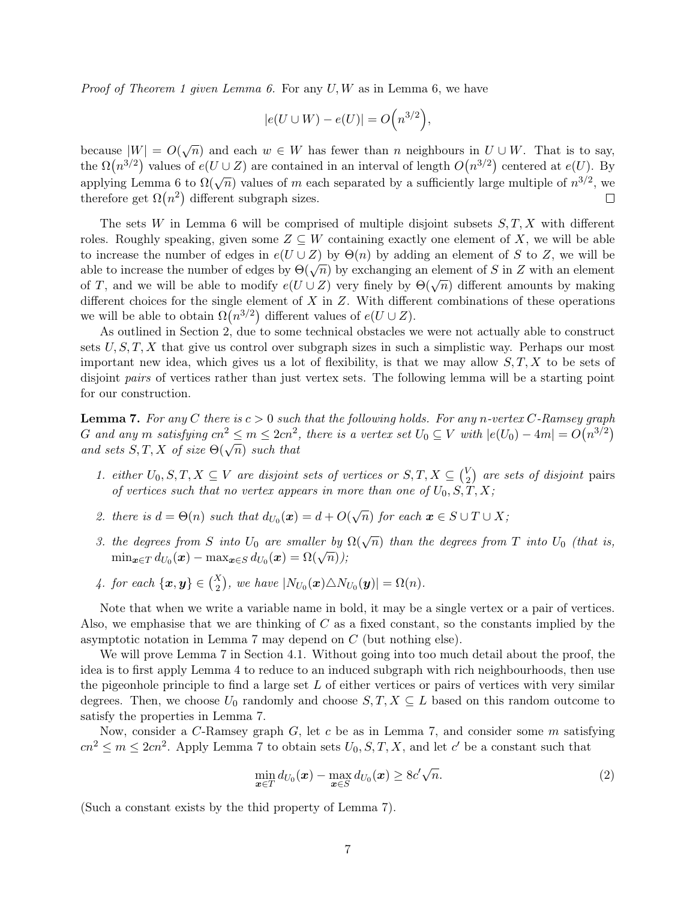*Proof of [Theorem 1](#page-1-0) given [Lemma 6.](#page-5-1)* For any  $U, W$  as in [Lemma 6,](#page-5-1) we have

$$
|e(U \cup W) - e(U)| = O\Big(n^{3/2}\Big),\,
$$

because  $|W| = O(\sqrt{n})$  and each  $w \in W$  has fewer than n neighbours in  $U \cup W$ . That is to say, the  $\Omega(n^{3/2})$  values of  $e(U \cup Z)$  are contained in an interval of length  $O(n^{3/2})$  centered at  $e(U)$ . By applying [Lemma 6](#page-5-1) to  $\Omega(\sqrt{n})$  values of m each separated by a sufficiently large multiple of  $n^{3/2}$ , we therefore get  $\Omega(n^2)$  different subgraph sizes.  $\Box$ 

The sets W in [Lemma 6](#page-5-1) will be comprised of multiple disjoint subsets  $S, T, X$  with different roles. Roughly speaking, given some  $Z \subseteq W$  containing exactly one element of X, we will be able to increase the number of edges in  $e(U \cup Z)$  by  $\Theta(n)$  by adding an element of S to Z, we will be to increase the number of edges in  $e(\sigma \circ Z)$  by  $O(n)$  by adding an element of S in Z with an element able to increase the number of edges by  $\Theta(\sqrt{n})$  by exchanging an element of S in Z with an element able to increase the number of edges by  $O(\sqrt{n})$  by exchanging an element of 5 in 2 with an element of T, and we will be able to modify  $e(U \cup Z)$  very finely by  $\Theta(\sqrt{n})$  different amounts by making different choices for the single element of X in  $Z$ . With different combinations of these operations we will be able to obtain  $\Omega(n^{3/2})$  different values of  $e(U \cup Z)$ .

As outlined in [Section 2,](#page-1-1) due to some technical obstacles we were not actually able to construct sets  $U, S, T, X$  that give us control over subgraph sizes in such a simplistic way. Perhaps our most important new idea, which gives us a lot of flexibility, is that we may allow  $S, T, X$  to be sets of disjoint *pairs* of vertices rather than just vertex sets. The following lemma will be a starting point for our construction.

<span id="page-6-0"></span>**Lemma 7.** For any C there is  $c > 0$  such that the following holds. For any n-vertex C-Ramsey graph G and any m satisfying  $cn^2 \le m \le 2cn^2$ , there is a vertex set  $U_0 \subseteq V$  with  $|e(U_0) - 4m| = O(n^{3/2})$ and sets  $S, T, X$  of size  $\Theta(\sqrt{n})$  such that

- 1. either  $U_0, S, T, X \subseteq V$  are disjoint sets of vertices or  $S, T, X \subseteq {V \choose 2}$  $\binom{V}{2}$  are sets of disjoint pairs of vertices such that no vertex appears in more than one of  $U_0$ ,  $S, T, X$ ;
- 2. there is  $d = \Theta(n)$  such that  $d_{U_0}(\boldsymbol{x}) = d + O(\sqrt{n})$  for each  $\boldsymbol{x} \in S \cup T \cup X$ ;
- 3. the degrees from S into  $U_0$  are smaller by  $\Omega(\sqrt{n})$  than the degrees from T into  $U_0$  (that is,  $\min_{\boldsymbol{x} \in T} d_{U_0}(\boldsymbol{x}) - \max_{\boldsymbol{x} \in S} d_{U_0}(\boldsymbol{x}) = \Omega(\sqrt{n})),$
- 4. for each  $\{\boldsymbol{x},\boldsymbol{y}\}\in\binom{X}{2}$ , we have  $|N_{U_0}(\boldsymbol{x})\triangle N_{U_0}(\boldsymbol{y})|=\Omega(n)$ .

Note that when we write a variable name in bold, it may be a single vertex or a pair of vertices. Also, we emphasise that we are thinking of  $C$  as a fixed constant, so the constants implied by the asymptotic notation in [Lemma 7](#page-6-0) may depend on C (but nothing else).

We will prove [Lemma 7](#page-6-0) in [Section 4.1.](#page-8-0) Without going into too much detail about the proof, the idea is to first apply [Lemma 4](#page-4-0) to reduce to an induced subgraph with rich neighbourhoods, then use the pigeonhole principle to find a large set  $L$  of either vertices or pairs of vertices with very similar degrees. Then, we choose  $U_0$  randomly and choose  $S, T, X \subseteq L$  based on this random outcome to satisfy the properties in [Lemma 7.](#page-6-0)

Now, consider a C-Ramsey graph  $G$ , let c be as in [Lemma 7,](#page-6-0) and consider some m satisfying  $cn^2 \le m \le 2cn^2$ . Apply [Lemma 7](#page-6-0) to obtain sets  $U_0, S, T, X$ , and let c' be a constant such that

<span id="page-6-1"></span>
$$
\min_{\boldsymbol{x}\in T} d_{U_0}(\boldsymbol{x}) - \max_{\boldsymbol{x}\in S} d_{U_0}(\boldsymbol{x}) \ge 8c'\sqrt{n}.\tag{2}
$$

(Such a constant exists by the thid property of [Lemma 7\)](#page-6-0).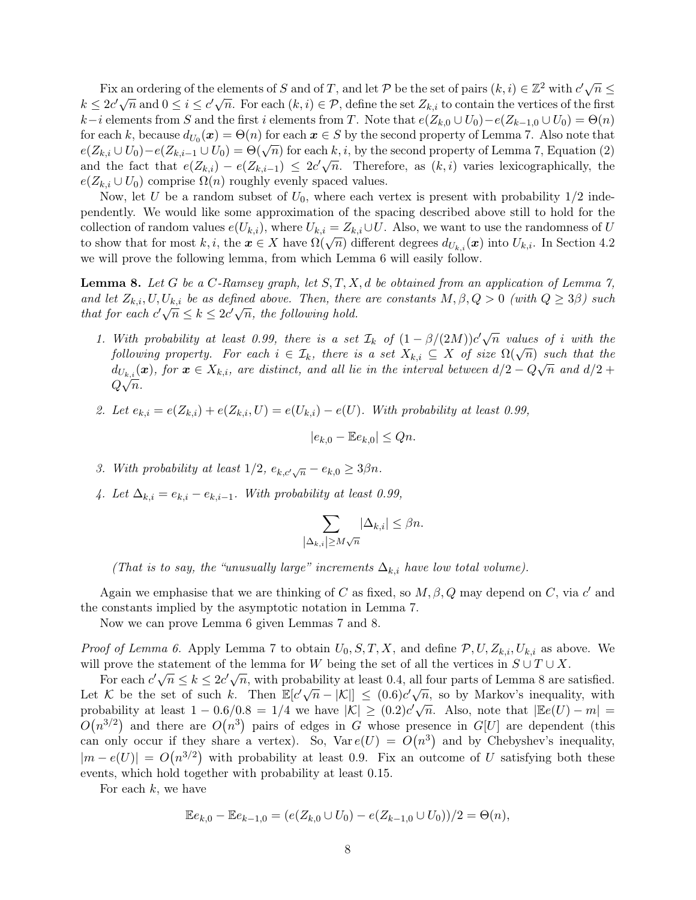Fix an ordering of the elements of S and of T, and let P be the set of pairs  $(k, i) \in \mathbb{Z}^2$  with  $c' \sqrt{n} \leq$ Fix an ordering of the elements of B and Of 1, and let P be the set Of pairs  $(x, i) \in \mathbb{Z}$  with  $i \sqrt{n} \le k \le 2c' \sqrt{n}$  and  $0 \le i \le c' \sqrt{n}$ . For each  $(k, i) \in \mathcal{P}$ , define the set  $Z_{k,i}$  to contain the vertices of the firs  $k-i$  elements from S and the first i elements from T. Note that  $e(Z_{k,0} \cup U_0) - e(Z_{k-1,0} \cup U_0) = \Theta(n)$ for each k, because  $d_{U_0}(\bm{x}) = \Theta(n)$  for each  $\bm{x} \in S$  by the second property of [Lemma 7.](#page-6-0) Also note that for each k, because  $u_{U_0}(x) = \Theta(n)$  for each  $x \in S$  by the second property of [Lemma 7,](#page-6-0) [Equation \(2\)](#page-6-1)  $e(Z_{k,i} \cup U_0) - e(Z_{k,i-1} \cup U_0) = \Theta(\sqrt{n})$  for each k, i, by the second property of Lemma 7, Equation (2)  $e(Z_{k,i} \cup C_0) - e(Z_{k,i-1} \cup C_0) = \Theta(\sqrt{n})$  for each  $k, i$ , by the second property of Lemma *i*, Equation (2) and the fact that  $e(Z_{k,i}) - e(Z_{k,i-1}) \leq 2c' \sqrt{n}$ . Therefore, as  $(k, i)$  varies lexicographically, the  $e(Z_{k,i} \cup U_0)$  comprise  $\Omega(n)$  roughly evenly spaced values.

Now, let U be a random subset of  $U_0$ , where each vertex is present with probability  $1/2$  independently. We would like some approximation of the spacing described above still to hold for the collection of random values  $e(U_{k,i})$ , where  $U_{k,i} = Z_{k,i} \cup U$ . Also, we want to use the randomness of U to show that for most k, i, the  $x \in X$  have  $\Omega(\sqrt{n})$  different degrees  $d_{U_{k,i}}(x)$  into  $U_{k,i}$ . In [Section 4.2](#page-9-0) we will prove the following lemma, from which [Lemma 6](#page-5-1) will easily follow.

<span id="page-7-0"></span>**Lemma 8.** Let G be a C-Ramsey graph, let  $S, T, X, d$  be obtained from an application of [Lemma 7,](#page-6-0) and let  $Z_{k,i}, U, U_{k,i}$  be as defined above. Then, there are constants  $M, \beta, Q > 0$  (with  $Q \geq 3\beta$ ) such and let  $Z_{k,i}, \theta, \theta_{k,i}$  be as defined doove. Then, therefore that for each  $c' \sqrt{n} \leq k \leq 2c' \sqrt{n}$ , the following hold.

- 1. With probability at least 0.99, there is a set  $\mathcal{I}_k$  of  $(1 \beta/(2M))c'\sqrt{n}$  values of i with the following property. For each  $i \in \mathcal{I}_k$ , there is a set  $X_{k,i} \subseteq X$  of size  $\Omega(\sqrt{n})$  such that the following property. For each  $i \in \mathcal{I}_k$ , there is a set  $X_{k,i} \subseteq X$  of size  $\Omega(\sqrt{n})$  such that the  $d_{U_{k,i}}(\boldsymbol{x})$ , for  $\boldsymbol{x} \in X_{k,i}$ , are distinct, and all lie in the interval between  $d/2 - Q\sqrt{n}$  and  $d/2 + Q\sqrt{n}$  $Q\sqrt{n}$ .
- 2. Let  $e_{k,i} = e(Z_{k,i}) + e(Z_{k,i}, U) = e(U_{k,i}) e(U)$ . With probability at least 0.99,

$$
|e_{k,0} - \mathbb{E}e_{k,0}| \le Qn.
$$

- 3. With probability at least  $1/2$ ,  $e_{k,c'\sqrt{n}} e_{k,0} \geq 3\beta n$ .
- 4. Let  $\Delta_{k,i} = e_{k,i} e_{k,i-1}$ . With probability at least 0.99,

$$
\sum_{\substack{\lambda_{k,i} \ge M\sqrt{n}}} |\Delta_{k,i}| \le \beta n.
$$

(That is to say, the "unusually large" increments  $\Delta_{k,i}$  have low total volume).

Again we emphasise that we are thinking of C as fixed, so  $M, \beta, Q$  may depend on C, via c' and the constants implied by the asymptotic notation in [Lemma 7.](#page-6-0)

Now we can prove [Lemma 6](#page-5-1) given [Lemmas 7](#page-6-0) and [8.](#page-7-0)

*Proof of [Lemma 6.](#page-5-1)* Apply [Lemma 7](#page-6-0) to obtain  $U_0, S, T, X$ , and define  $P, U, Z_{k,i}, U_{k,i}$  as above. We will prove the statement of the lemma for W being the set of all the vertices in  $S \cup T \cup X$ .

For each  $c'\sqrt{n} \le k \le 2c'\sqrt{n}$ , with probability at least 0.4, all four parts of [Lemma 8](#page-7-0) are satisfied. Let K be the set of such k. Then  $\mathbb{E}[c'\sqrt{n} - |\mathcal{K}|] \leq (0.6)c'\sqrt{n}$ , so by Markov's inequality, with probability at least  $1 - 0.6/0.8 = 1/4$  we have  $|K| \ge (0.2)c\sqrt{n}$ . Also, note that  $|\mathbb{E}e(U) - m| =$  $O(n^{3/2})$  and there are  $O(n^3)$  pairs of edges in G whose presence in G[U] are dependent (this can only occur if they share a vertex). So,  $Var e(U) = O(n^3)$  and by Chebyshev's inequality,  $|m - e(U)| = O(n^{3/2})$  with probability at least 0.9. Fix an outcome of U satisfying both these events, which hold together with probability at least 0.15.

For each  $k$ , we have

$$
\mathbb{E}e_{k,0} - \mathbb{E}e_{k-1,0} = (e(Z_{k,0} \cup U_0) - e(Z_{k-1,0} \cup U_0))/2 = \Theta(n),
$$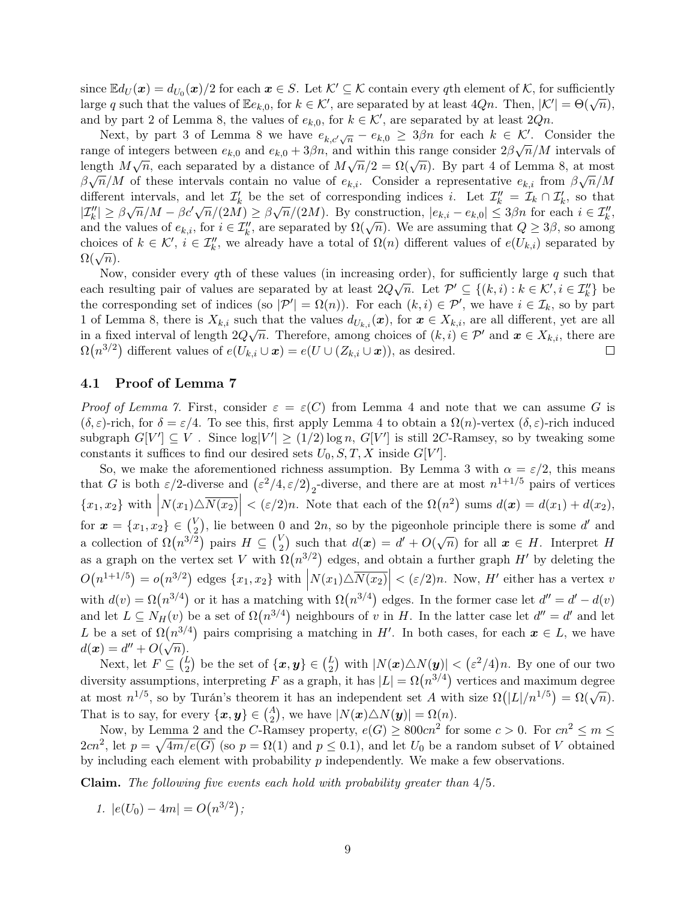since  $\mathbb{E}d_U(\boldsymbol{x}) = d_{U_0}(\boldsymbol{x})/2$  for each  $\boldsymbol{x} \in S$ . Let  $\mathcal{K}' \subseteq \mathcal{K}$  contain every qth element of  $\mathcal{K}$ , for sufficiently large q such that the values of  $\mathbb{E}e_{k,0}$ , for  $k \in \mathcal{K}'$ , are separated by at least  $4Qn$ . Then,  $|\mathcal{K}'| = \Theta(\sqrt{n})$ , and by part 2 of [Lemma 8,](#page-7-0) the values of  $e_{k,0}$ , for  $k \in \mathcal{K}'$ , are separated by at least  $2Qn$ .

Next, by part 3 of [Lemma 8](#page-7-0) we have  $e_{k,c'\sqrt{n}} - e_{k,0} \geq 3\beta n$  for each  $k \in \mathcal{K}'$ . Consider the range of integers between  $e_{k,0}$  and  $e_{k,0} + 3\beta n$ , and within this range consider  $2\beta\sqrt{n}/M$  intervals of length  $M\sqrt{n}$ , each separated by a distance of  $M\sqrt{n}/2 = \Omega(\sqrt{n})$ . By part 4 of [Lemma 8,](#page-7-0) at most  $\beta\sqrt{n}/M$  of these intervals contain no value of  $e_{k,i}$ . Consider a representative  $e_{k,i}$  from  $\beta\sqrt{n}/M$ different intervals, and let  $\mathcal{I}'_k$  be the set of corresponding indices *i*. Let  $\mathcal{I}''_k = \mathcal{I}_k \cap \mathcal{I}'_k$ , so that different line vars, and let  $\mathcal{L}_k$  be the set of corresponding indices *t*. Let  $\mathcal{L}_k = \mathcal{L}_k + \mathcal{L}_k$ , so that  $|\mathcal{I}_k''| \geq \beta \sqrt{n}/M - \beta c' \sqrt{n}/(2M) \geq \beta \sqrt{n}/(2M)$ . By construction,  $|e_{k,i} - e_{k,0}| \leq 3\beta n$  for each  $i \$  $|\mathcal{L}_k| \geq \rho \sqrt{n/m} - \rho c \sqrt{n/(2M)} \geq \rho \sqrt{n/(2M)}$ . By construction,  $|e_{k,i} - e_{k,0}| \leq \rho \rho n$  for each  $i \in \mathcal{L}_k$ , and the values of  $e_{k,i}$ , for  $i \in \mathcal{I}_k''$ , are separated by  $\Omega(\sqrt{n})$ . We are assuming that  $Q \geq 3\beta$ , so amo choices of  $k \in \mathcal{K}'$ ,  $i \in \mathcal{I}'_k$ , we already have a total of  $\Omega(n)$  different values of  $e(U_{k,i})$  separated by enoices<br> $\Omega(\sqrt{n}).$ 

Now, consider every qth of these values (in increasing order), for sufficiently large q such that each resulting pair of values are separated by at least  $2Q\sqrt{n}$ . Let  $\mathcal{P}' \subseteq \{(k,i): k \in \mathcal{K}', i \in \mathcal{I}''_k\}$  be the corresponding set of indices (so  $|\mathcal{P}'| = \Omega(n)$ ). For each  $(k, i) \in \mathcal{P}'$ , we have  $i \in \mathcal{I}_k$ , so by part 1 of [Lemma 8,](#page-7-0) there is  $X_{k,i}$  such that the values  $d_{U_{k,i}}(\boldsymbol{x})$ , for  $\boldsymbol{x} \in X_{k,i}$ , are all different, yet are all in a fixed interval of length  $2Q\sqrt{n}$ . Therefore, among choices of  $(k, i) \in \mathcal{P}'$  and  $\boldsymbol{x} \in X_{k,i}$ , there are  $\Omega(n^{3/2})$  different values of  $e(U_{k,i} \cup \boldsymbol{x}) = e(U \cup (Z_{k,i} \cup \boldsymbol{x}))$ , as desired.

#### <span id="page-8-0"></span>4.1 Proof of [Lemma 7](#page-6-0)

Proof of [Lemma 7.](#page-6-0) First, consider  $\varepsilon = \varepsilon(C)$  from [Lemma 4](#page-4-0) and note that we can assume G is  $(\delta, \varepsilon)$ -rich, for  $\delta = \varepsilon/4$ . To see this, first apply [Lemma 4](#page-4-0) to obtain a  $\Omega(n)$ -vertex  $(\delta, \varepsilon)$ -rich induced subgraph  $G[V'] \subseteq V$ . Since  $\log|V'| \ge (1/2) \log n$ ,  $G[V']$  is still 2C-Ramsey, so by tweaking some constants it suffices to find our desired sets  $U_0, S, T, X$  inside  $G[V']$ .

So, we make the aforementioned richness assumption. By [Lemma 3](#page-4-1) with  $\alpha = \varepsilon/2$ , this means that G is both  $\varepsilon/2$ -diverse and  $(\varepsilon^2/4, \varepsilon/2)_2$ -diverse, and there are at most  $n^{1+1/5}$  pairs of vertices  $\{x_1, x_2\}$  with  $\left| N(x_1) \triangle \overline{N(x_2)} \right| < (\varepsilon/2)n$ . Note that each of the  $\Omega(n^2)$  sums  $d(\boldsymbol{x}) = d(x_1) + d(x_2)$ , for  $\mathbf{x} = \{x_1, x_2\} \in \binom{V}{2}$  $\binom{V}{2}$ , lie between 0 and 2n, so by the pigeonhole principle there is some d' and a collection of  $\Omega(n^{3/2})$  pairs  $H \subseteq {V_2 \choose 2}$  $\binom{V}{2}$  such that  $d(\boldsymbol{x}) = d' + O(\sqrt{n})$  for all  $\boldsymbol{x} \in H$ . Interpret H as a graph on the vertex set V with  $\Omega(n^{3/2})$  edges, and obtain a further graph H' by deleting the  $O(n^{1+1/5}) = o(n^{3/2})$  edges  $\{x_1, x_2\}$  with  $\left| N(x_1) \triangle \overline{N(x_2)} \right| < (\varepsilon/2)n$ . Now, H' either has a vertex v with  $d(v) = \Omega(n^{3/4})$  or it has a matching with  $\Omega(n^{3/4})$  edges. In the former case let  $d'' = d' - d(v)$ and let  $L \subseteq N_H(v)$  be a set of  $\Omega(n^{3/4})$  neighbours of v in H. In the latter case let  $d'' = d'$  and let L be a set of  $\Omega(n^{3/4})$  pairs comprising a matching in H'. In both cases, for each  $x \in L$ , we have  $d(\boldsymbol{x}) = d'' + O(\sqrt{n}).$ 

Next, let  $F \subseteq {L \choose 2}$  be the set of  $\{x, y\} \in {L \choose 2}$  with  $|N(x) \triangle N(y)| < (\varepsilon^2/4)n$ . By one of our two diversity assumptions, interpreting F as a graph, it has  $|L| = \Omega(n^{3/4})$  vertices and maximum degree at most  $n^{1/5}$ , so by Turán's theorem it has an independent set A with size  $\Omega(|L|/n^{1/5}) = \Omega(\sqrt{n})$ . That is to say, for every  $\{\boldsymbol{x}, \boldsymbol{y}\} \in \binom{A}{2}$ , we have  $|N(\boldsymbol{x}) \triangle N(\boldsymbol{y})| = \Omega(n)$ .

Now, by [Lemma 2](#page-3-1) and the C-Ramsey property,  $e(G) \geq 800cn^2$  for some  $c > 0$ . For  $cn^2 \leq m \leq$  $2cn^2$ , let  $p = \sqrt{4m/e(G)}$  (so  $p = \Omega(1)$  and  $p \le 0.1$ ), and let  $U_0$  be a random subset of V obtained by including each element with probability  $p$  independently. We make a few observations.

**Claim.** The following five events each hold with probability greater than  $4/5$ .

1.  $|e(U_0) - 4m| = O(n^{3/2});$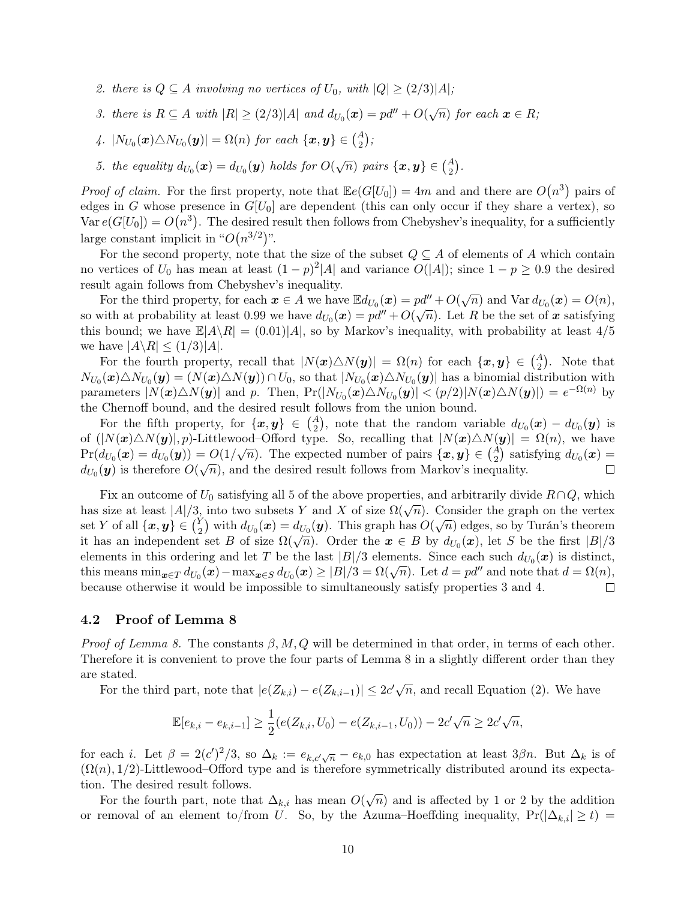- 2. there is  $Q \subseteq A$  involving no vertices of  $U_0$ , with  $|Q| \geq (2/3)|A|$ ;
- 3. there is  $R \subseteq A$  with  $|R| \geq (2/3)|A|$  and  $d_{U_0}(\boldsymbol{x}) = pd'' + O(\sqrt{n})$  for each  $\boldsymbol{x} \in R$ ;
- 4.  $|N_{U_0}(\boldsymbol{x}) \triangle N_{U_0}(\boldsymbol{y})| = \Omega(n)$  for each  $\{\boldsymbol{x},\boldsymbol{y}\} \in \binom{A}{2}$ ;
- 5. the equality  $d_{U_0}(\boldsymbol{x}) = d_{U_0}(\boldsymbol{y})$  holds for  $O(\sqrt{n})$  pairs  $\{\boldsymbol{x}, \boldsymbol{y}\} \in {A \choose 2}$ .

*Proof of claim.* For the first property, note that  $\mathbb{E}e(G[U_0]) = 4m$  and and there are  $O(n^3)$  pairs of edges in G whose presence in  $G[U_0]$  are dependent (this can only occur if they share a vertex), so Var  $e(G[U_0]) = O(n^3)$ . The desired result then follows from Chebyshev's inequality, for a sufficiently large constant implicit in " $O(n^{3/2})$ ".

For the second property, note that the size of the subset  $Q \subseteq A$  of elements of A which contain no vertices of  $U_0$  has mean at least  $(1-p)^2|A|$  and variance  $O(|A|)$ ; since  $1-p \geq 0.9$  the desired result again follows from Chebyshev's inequality.

For the third property, for each  $x \in A$  we have  $\mathbb{E}d_{U_0}(x) = pd'' + O(\sqrt{n})$  and  $\text{Var } d_{U_0}(x) = O(n)$ , so with at probability at least 0.99 we have  $d_{U_0}(\mathbf{x}) = pd'' + O(\sqrt{n})$ . Let R be the set of x satisfying this bound; we have  $\mathbb{E}|A\setminus R| = (0.01)|A|$ , so by Markov's inequality, with probability at least  $4/5$ we have  $|A \backslash R| \leq (1/3)|A|$ .

For the fourth property, recall that  $|N(x)\triangle N(y)| = \Omega(n)$  for each  $\{x, y\} \in {A \choose 2}$ . Note that  $N_{U_0}(\bm x)\triangle N_{U_0}(\bm y)=(N(\bm x)\triangle N(\bm y))\cap U_0, \text{ so that }|N_{U_0}(\bm x)\triangle N_{U_0}(\bm y)| \text{ has a binomial distribution with }$ parameters  $|N(\boldsymbol{x})\triangle N(\boldsymbol{y})|$  and p. Then,  $Pr(|N_{U_0}(\boldsymbol{x})\triangle N_{U_0}(\boldsymbol{y})| < (p/2)|N(\boldsymbol{x})\triangle N(\boldsymbol{y})|) = e^{-\Omega(n)}$  by the Chernoff bound, and the desired result follows from the union bound.

For the fifth property, for  $\{x, y\} \in {A \choose 2}$ , note that the random variable  $d_{U_0}(x) - d_{U_0}(y)$  is of  $(|N(x)\triangle N(y)|, p)$ -Littlewood–Offord type. So, recalling that  $|N(x)\triangle N(y)| = \Omega(n)$ , we have  $\Pr(d_{U_0}(\boldsymbol{x}) = d_{U_0}(\boldsymbol{y})) = O(1/\sqrt{n}).$  The expected number of pairs  $\{\boldsymbol{x}, \boldsymbol{y}\} \in {A \choose 2}$  satisfying  $d_{U_0}(\boldsymbol{x}) =$  $d_{U_0}(\mathbf{y})$  is therefore  $O(\sqrt{n})$ , and the desired result follows from Markov's inequality. П

Fix an outcome of  $U_0$  satisfying all 5 of the above properties, and arbitrarily divide  $R\cap Q$ , which Fix an outcome of  $U_0$  satisfying an 5 of the above properties, and arbitrarily divide  $R \upharpoonright Q$ , which<br>has size at least  $|A|/3$ , into two subsets Y and X of size  $\Omega(\sqrt{n})$ . Consider the graph on the vertex set Y of all  $\{\boldsymbol{x},\boldsymbol{y}\}\in\binom{Y}{2}$  $\binom{Y}{2}$  with  $d_{U_0}(\bm{x}) = d_{U_0}(\bm{y}).$  This graph has  $O(\sqrt{n})$  edges, so by Turán's theorem it has an independent set B of size  $\Omega(\sqrt{n})$ . Order the  $x \in B$  by  $d_{U_0}(x)$ , let S be the first  $|B|/3$ elements in this ordering and let T be the last  $|B|/3$  elements. Since each such  $d_{U_0}(\boldsymbol{x})$  is distinct, this means  $\min_{\mathbf{x} \in T} d_{U_0}(\mathbf{x}) - \max_{\mathbf{x} \in S} d_{U_0}(\mathbf{x}) \ge |B|/3 = \Omega(\sqrt{n})$ . Let  $d = pd''$  and note that  $d = \Omega(n)$ , because otherwise it would be impossible to simultaneously satisfy properties 3 and 4.  $\Box$ 

#### <span id="page-9-0"></span>4.2 Proof of [Lemma 8](#page-7-0)

*Proof of [Lemma 8.](#page-7-0)* The constants  $\beta$ ,  $M$ ,  $Q$  will be determined in that order, in terms of each other. Therefore it is convenient to prove the four parts of [Lemma 8](#page-7-0) in a slightly different order than they are stated.

For the third part, note that  $|e(Z_{k,i}) - e(Z_{k,i-1})| \leq 2c'\sqrt{n}$ , and recall [Equation \(2\).](#page-6-1) We have

$$
\mathbb{E}[e_{k,i} - e_{k,i-1}] \ge \frac{1}{2}(e(Z_{k,i}, U_0) - e(Z_{k,i-1}, U_0)) - 2c'\sqrt{n} \ge 2c'\sqrt{n},
$$

for each *i*. Let  $\beta = 2(c')^2/3$ , so  $\Delta_k := e_{k,c'}\sqrt{n} - e_{k,0}$  has expectation at least  $3\beta n$ . But  $\Delta_k$  is of  $(\Omega(n), 1/2)$ -Littlewood–Offord type and is therefore symmetrically distributed around its expectation. The desired result follows.

For the fourth part, note that  $\Delta_{k,i}$  has mean  $O(\sqrt{n})$  and is affected by 1 or 2 by the addition or removal of an element to/from U. So, by the Azuma–Hoeffding inequality,  $Pr(|\Delta_{k,i}| \geq t)$  =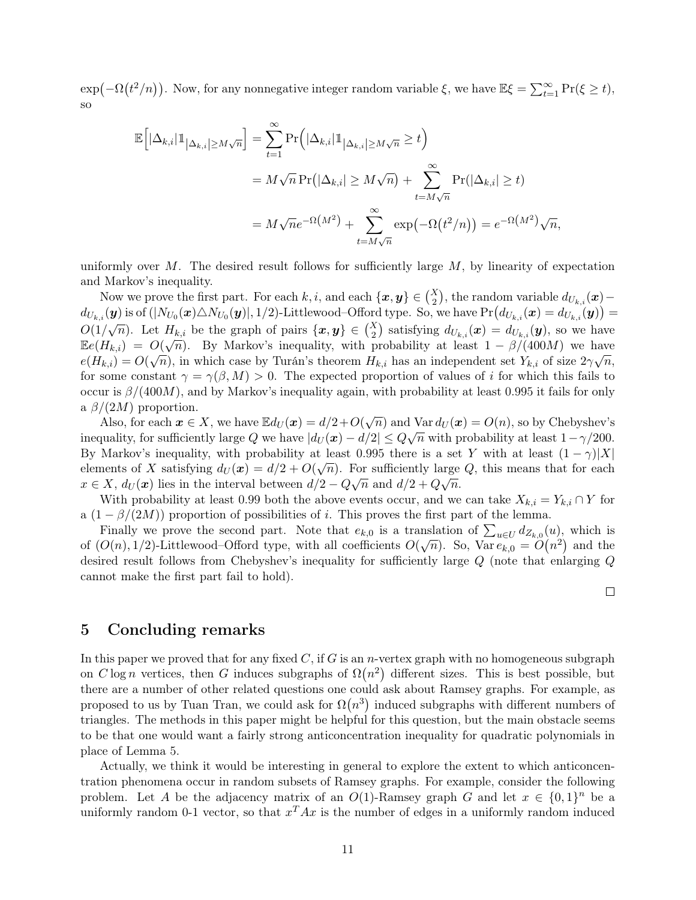$\exp(-\Omega(t^2/n))$ . Now, for any nonnegative integer random variable  $\xi$ , we have  $\mathbb{E}\xi = \sum_{t=1}^{\infty} \Pr(\xi \ge t)$ , so

$$
\mathbb{E}\Big[|\Delta_{k,i}|1\|_{|\Delta_{k,i}| \ge M\sqrt{n}}\Big] = \sum_{t=1}^{\infty} \Pr\Big(|\Delta_{k,i}|1\|_{|\Delta_{k,i}| \ge M\sqrt{n}} \ge t\Big)
$$
  
=  $M\sqrt{n} \Pr(|\Delta_{k,i}| \ge M\sqrt{n}) + \sum_{t=M\sqrt{n}}^{\infty} \Pr(|\Delta_{k,i}| \ge t)$   
=  $M\sqrt{n}e^{-\Omega(M^2)} + \sum_{t=M\sqrt{n}}^{\infty} \exp(-\Omega(t^2/n)) = e^{-\Omega(M^2)}\sqrt{n},$ 

uniformly over M. The desired result follows for sufficiently large  $M$ , by linearity of expectation and Markov's inequality.

Now we prove the first part. For each  $k, i$ , and each  $\{x, y\} \in {X \choose 2}$ , the random variable  $d_{U_{k,i}}(x)$  –  $d_{U_{k,i}}(\bm{y})$  is of  $(|N_{U_0}(\bm{x}) \triangle N_{U_0}(\bm{y})|, 1/2)$ -Littlewood–Offord type. So, we have  $\Pr\big(d_{U_{k,i}}(\bm{x}) = d_{U_{k,i}}(\bm{y})\big) =$  $O(1/\sqrt{n})$ . Let  $H_{k,i}$  be the graph of pairs  $\{x, y\} \in {X \choose 2}$  satisfying  $d_{U_{k,i}}(x) = d_{U_{k,i}}(y)$ , so we have  $\mathbb{E}e(H_{k,i}) = O(\sqrt{n}).$  By Markov's inequality, with probability at least  $1 - \beta/(400M)$  we have  $e(H_{k,i}) = O(\sqrt{n})$ , in which case by Turán's theorem  $H_{k,i}$  has an independent set  $Y_{k,i}$  of size  $2\gamma\sqrt{n}$ , for some constant  $\gamma = \gamma(\beta, M) > 0$ . The expected proportion of values of i for which this fails to occur is  $\beta/(400M)$ , and by Markov's inequality again, with probability at least 0.995 it fails for only a  $\beta/(2M)$  proportion.

Also, for each  $\mathbf{x} \in X$ , we have  $\mathbb{E}d_U(\mathbf{x}) = d/2 + O(\sqrt{n})$  and  $\text{Var } d_U(\mathbf{x}) = O(n)$ , so by Chebyshev's inequality, for sufficiently large Q we have  $|d_U(x) - d/2| \leq Q\sqrt{n}$  with probability at least  $1-\gamma/200$ . By Markov's inequality, with probability at least 0.995 there is a set Y with at least  $(1 - \gamma)|X|$ elements of X satisfying  $d_U(x) = d/2 + O(\sqrt{n})$ . For sufficiently large Q, this means that for each  $x \in X$ ,  $d_U(x)$  lies in the interval between  $d/2 - Q\sqrt{n}$  and  $d/2 + Q\sqrt{n}$ .

With probability at least 0.99 both the above events occur, and we can take  $X_{k,i} = Y_{k,i} \cap Y$  for a  $(1 - \beta/(2M))$  proportion of possibilities of i. This proves the first part of the lemma.

Finally we prove the second part. Note that  $e_{k,0}$  is a translation of  $\sum_{u\in U} d_{Z_{k,0}}(u)$ , which is of  $(O(n), 1/2)$ -Littlewood–Offord type, with all coefficients  $O(\sqrt{n})$ . So, Var  $e_{k,0} = O(n^2)$  and the desired result follows from Chebyshev's inequality for sufficiently large Q (note that enlarging Q cannot make the first part fail to hold).

 $\Box$ 

# 5 Concluding remarks

In this paper we proved that for any fixed  $C$ , if G is an *n*-vertex graph with no homogeneous subgraph on C log n vertices, then G induces subgraphs of  $\Omega(n^2)$  different sizes. This is best possible, but there are a number of other related questions one could ask about Ramsey graphs. For example, as proposed to us by Tuan Tran, we could ask for  $\Omega(n^3)$  induced subgraphs with different numbers of triangles. The methods in this paper might be helpful for this question, but the main obstacle seems to be that one would want a fairly strong anticoncentration inequality for quadratic polynomials in place of [Lemma 5.](#page-5-2)

Actually, we think it would be interesting in general to explore the extent to which anticoncentration phenomena occur in random subsets of Ramsey graphs. For example, consider the following problem. Let A be the adjacency matrix of an  $O(1)$ -Ramsey graph G and let  $x \in \{0,1\}^n$  be a uniformly random 0-1 vector, so that  $x^T A x$  is the number of edges in a uniformly random induced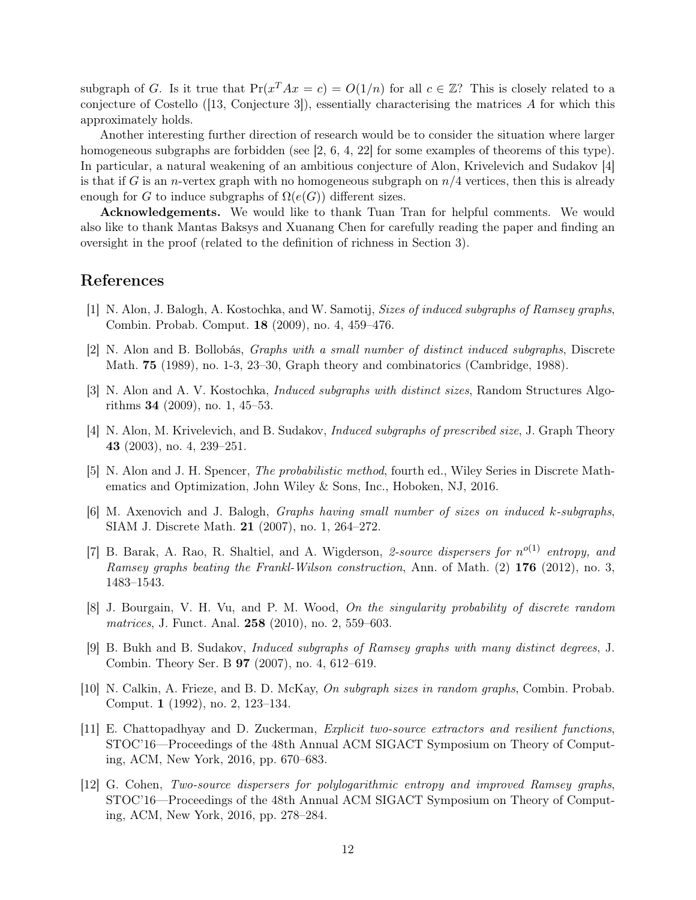subgraph of G. Is it true that  $Pr(x^T A x = c) = O(1/n)$  for all  $c \in \mathbb{Z}$ ? This is closely related to a conjecture of Costello ([\[13,](#page-12-10) Conjecture 3]), essentially characterising the matrices A for which this approximately holds.

Another interesting further direction of research would be to consider the situation where larger homogeneous subgraphs are forbidden (see [\[2,](#page-11-10) [6,](#page-11-11) [4,](#page-11-4) [22\]](#page-12-11) for some examples of theorems of this type). In particular, a natural weakening of an ambitious conjecture of Alon, Krivelevich and Sudakov [\[4\]](#page-11-4) is that if G is an *n*-vertex graph with no homogeneous subgraph on  $n/4$  vertices, then this is already enough for G to induce subgraphs of  $\Omega(e(G))$  different sizes.

Acknowledgements. We would like to thank Tuan Tran for helpful comments. We would also like to thank Mantas Baksys and Xuanang Chen for carefully reading the paper and finding an oversight in the proof (related to the definition of richness in [Section 3\)](#page-3-0).

# References

- <span id="page-11-5"></span>[1] N. Alon, J. Balogh, A. Kostochka, and W. Samotij, Sizes of induced subgraphs of Ramsey graphs, Combin. Probab. Comput. 18 (2009), no. 4, 459–476.
- <span id="page-11-10"></span>[2] N. Alon and B. Bollobás, Graphs with a small number of distinct induced subgraphs, Discrete Math. 75 (1989), no. 1-3, 23–30, Graph theory and combinatorics (Cambridge, 1988).
- <span id="page-11-6"></span>[3] N. Alon and A. V. Kostochka, Induced subgraphs with distinct sizes, Random Structures Algorithms 34 (2009), no. 1, 45–53.
- <span id="page-11-4"></span>[4] N. Alon, M. Krivelevich, and B. Sudakov, Induced subgraphs of prescribed size, J. Graph Theory 43 (2003), no. 4, 239–251.
- <span id="page-11-9"></span>[5] N. Alon and J. H. Spencer, The probabilistic method, fourth ed., Wiley Series in Discrete Mathematics and Optimization, John Wiley & Sons, Inc., Hoboken, NJ, 2016.
- <span id="page-11-11"></span>[6] M. Axenovich and J. Balogh, Graphs having small number of sizes on induced k-subgraphs, SIAM J. Discrete Math. 21 (2007), no. 1, 264–272.
- <span id="page-11-0"></span>[7] B. Barak, A. Rao, R. Shaltiel, and A. Wigderson, 2-source dispersers for  $n^{o(1)}$  entropy, and Ramsey graphs beating the Frankl-Wilson construction, Ann. of Math. (2) 176 (2012), no. 3, 1483–1543.
- <span id="page-11-8"></span>[8] J. Bourgain, V. H. Vu, and P. M. Wood, On the singularity probability of discrete random matrices, J. Funct. Anal. 258 (2010), no. 2, 559–603.
- <span id="page-11-3"></span>[9] B. Bukh and B. Sudakov, Induced subgraphs of Ramsey graphs with many distinct degrees, J. Combin. Theory Ser. B 97 (2007), no. 4, 612–619.
- <span id="page-11-7"></span>[10] N. Calkin, A. Frieze, and B. D. McKay, On subgraph sizes in random graphs, Combin. Probab. Comput. 1 (1992), no. 2, 123–134.
- <span id="page-11-2"></span>[11] E. Chattopadhyay and D. Zuckerman, Explicit two-source extractors and resilient functions, STOC'16—Proceedings of the 48th Annual ACM SIGACT Symposium on Theory of Computing, ACM, New York, 2016, pp. 670–683.
- <span id="page-11-1"></span>[12] G. Cohen, Two-source dispersers for polylogarithmic entropy and improved Ramsey graphs, STOC'16—Proceedings of the 48th Annual ACM SIGACT Symposium on Theory of Computing, ACM, New York, 2016, pp. 278–284.